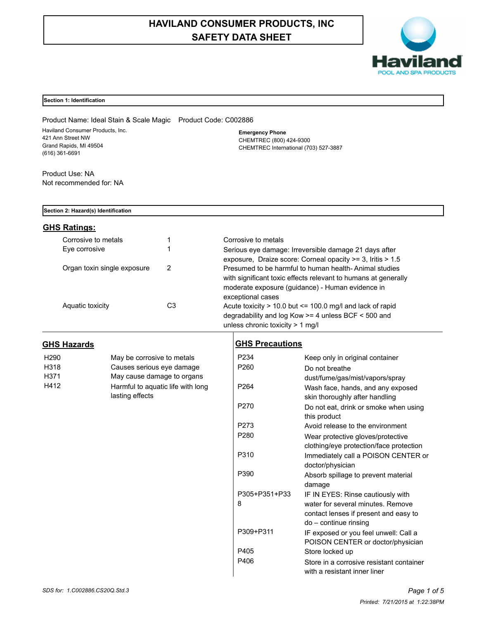# **HAVILAND CONSUMER PRODUCTS, INC SAFETY DATA SHEET**



## **Section 1: Identification**

Product Name: Ideal Stain & Scale Magic Product Code: C002886 Haviland Consumer Products, Inc. 421 Ann Street NW Grand Rapids, MI 49504 (616) 361-6691

**Emergency Phone** CHEMTREC (800) 424-9300 CHEMTREC International (703) 527-3887

Product Use: NA Not recommended for: NA

#### **Section 2: Hazard(s) Identification**

# **GHS Ratings:**

| Corrosive to metals         |    | Corrosive to metals                                                                                                                                                                              |
|-----------------------------|----|--------------------------------------------------------------------------------------------------------------------------------------------------------------------------------------------------|
| Eve corrosive               |    | Serious eye damage: Irreversible damage 21 days after<br>exposure, Draize score: Corneal opacity >= 3, Iritis > 1.5                                                                              |
| Organ toxin single exposure | 2  | Presumed to be harmful to human health-Animal studies<br>with significant toxic effects relevant to humans at generally<br>moderate exposure (guidance) - Human evidence in<br>exceptional cases |
| Aquatic toxicity            | C3 | Acute toxicity $> 10.0$ but $\leq 100.0$ mg/l and lack of rapid<br>degradability and log Kow >= 4 unless BCF < 500 and<br>unless chronic toxicity $> 1$ mg/l                                     |

# **GHS Hazards**

| H <sub>290</sub> | May be corrosive to metals        |
|------------------|-----------------------------------|
| H318             | Causes serious eye damage         |
| H371             | May cause damage to organs        |
| H412             | Harmful to aquatic life with long |
|                  | lasting effects                   |

# **GHS Precautions**

| P234             | Keep only in original container          |
|------------------|------------------------------------------|
| P <sub>260</sub> | Do not breathe                           |
|                  | dust/fume/gas/mist/vapors/spray          |
| P <sub>264</sub> | Wash face, hands, and any exposed        |
|                  | skin thoroughly after handling           |
| P <sub>270</sub> | Do not eat, drink or smoke when using    |
|                  | this product                             |
| P273             | Avoid release to the environment         |
| P280             | Wear protective gloves/protective        |
|                  | clothing/eye protection/face protection  |
| P310             | Immediately call a POISON CENTER or      |
|                  | doctor/physician                         |
| P390             | Absorb spillage to prevent material      |
|                  | damage                                   |
| P305+P351+P33    | IF IN EYES: Rinse cautiously with        |
| 8                | water for several minutes. Remove        |
|                  | contact lenses if present and easy to    |
|                  | do - continue rinsing                    |
| P309+P311        | IF exposed or you feel unwell: Call a    |
|                  | POISON CENTER or doctor/physician        |
| P405             | Store locked up                          |
| P406             | Store in a corrosive resistant container |
|                  | with a resistant inner liner             |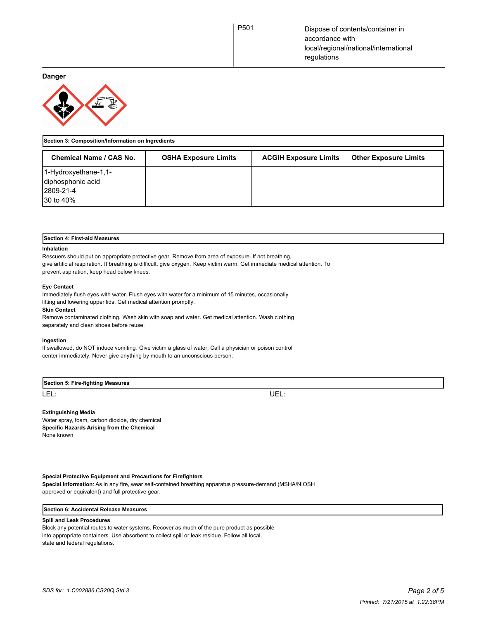**Danger**



| Section 3: Composition/Information on Ingredients                    |                             |                              |                              |
|----------------------------------------------------------------------|-----------------------------|------------------------------|------------------------------|
| Chemical Name / CAS No.                                              | <b>OSHA Exposure Limits</b> | <b>ACGIH Exposure Limits</b> | <b>Other Exposure Limits</b> |
| 1-Hydroxyethane-1,1-<br>diphosphonic acid<br>12809-21-4<br>30 to 40% |                             |                              |                              |

|  |  |  | Section 4: First-aid Measures |
|--|--|--|-------------------------------|
|--|--|--|-------------------------------|

#### **Inhalation**

Rescuers should put on appropriate protective gear. Remove from area of exposure. If not breathing, give artificial respiration. If breathing is difficult, give oxygen. Keep victim warm. Get immediate medical attention. To prevent aspiration, keep head below knees.

#### **Eye Contact**

Immediately flush eyes with water. Flush eyes with water for a minimum of 15 minutes, occasionally lifting and lowering upper lids. Get medical attention promptly.

#### **Skin Contact**

Remove contaminated clothing. Wash skin with soap and water. Get medical attention. Wash clothing separately and clean shoes before reuse.

#### **Ingestion**

If swallowed, do NOT induce vomiting. Give victim a glass of water. Call a physician or poison control center immediately. Never give anything by mouth to an unconscious person.

## **Section 5: Fire-fighting Measures**

LEL: UEL:

# **Extinguishing Media**

Water spray, foam, carbon dioxide, dry chemical **Specific Hazards Arising from the Chemical** None known

### **Special Protective Equipment and Precautions for Firefighters**

**Special Information**: As in any fire, wear self-contained breathing apparatus pressure-demand (MSHA/NIOSH approved or equivalent) and full protective gear.

### **Section 6: Accidental Release Measures**

### **Spill and Leak Procedures**

Block any potential routes to water systems. Recover as much of the pure product as possible into appropriate containers. Use absorbent to collect spill or leak residue. Follow all local, state and federal regulations.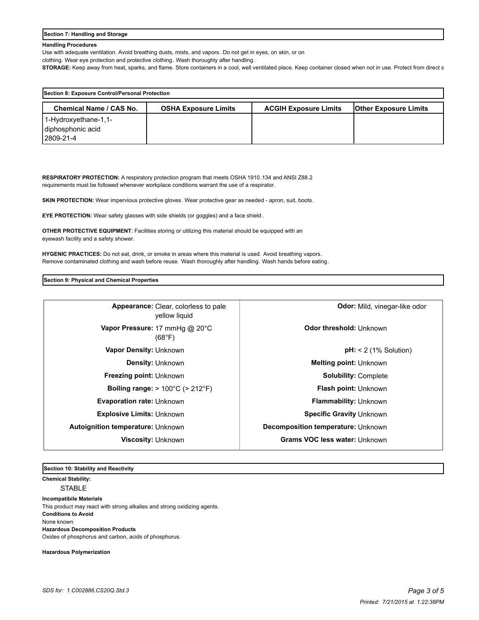#### **Section 7: Handling and Storage**

#### **Handling Procedures**

Use with adequate ventilation. Avoid breathing dusts, mists, and vapors. Do not get in eyes, on skin, or on

clothing. Wear eye protection and protective clothing. Wash thoroughly after handling.

STORAGE: Keep away from heat, sparks, and flame. Store containers in a cool, well ventilated place. Keep container closed when not in use. Protect from direct s

| Section 8: Exposure Control/Personal Protection |                             |                              |                              |
|-------------------------------------------------|-----------------------------|------------------------------|------------------------------|
| Chemical Name / CAS No.                         | <b>OSHA Exposure Limits</b> | <b>ACGIH Exposure Limits</b> | <b>Other Exposure Limits</b> |
| $1-Hydroxyethane-1,1-$                          |                             |                              |                              |
| diphosphonic acid                               |                             |                              |                              |
| 2809-21-4                                       |                             |                              |                              |

**RESPIRATORY PROTECTION:** A respiratory protection program that meets OSHA 1910.134 and ANSI Z88.2 requirements must be followed whenever workplace conditions warrant the use of a respirator.

**SKIN PROTECTION:** Wear impervious protective gloves. Wear protective gear as needed - apron, suit, boots.

**EYE PROTECTION:** Wear safety glasses with side shields (or goggles) and a face shield .

**OTHER PROTECTIVE EQUIPMENT**: Facilities storing or utilizing this material should be equipped with an eyewash facility and a safety shower.

**HYGENIC PRACTICES:** Do not eat, drink, or smoke in areas where this material is used. Avoid breathing vapors. Remove contaminated clothing and wash before reuse. Wash thoroughly after handling. Wash hands before eating.

**Section 9: Physical and Chemical Properties**

| Appearance: Clear, colorless to pale<br>vellow liquid        | <b>Odor:</b> Mild, vinegar-like odor |
|--------------------------------------------------------------|--------------------------------------|
| Vapor Pressure: 17 mmHg @ 20°C<br>(68°F)                     | Odor threshold: Unknown              |
| Vapor Density: Unknown                                       | $pH: < 2$ (1% Solution)              |
| <b>Density: Unknown</b>                                      | <b>Melting point: Unknown</b>        |
| <b>Freezing point: Unknown</b>                               | <b>Solubility: Complete</b>          |
| <b>Boiling range:</b> $> 100^{\circ}$ C ( $> 212^{\circ}$ F) | <b>Flash point: Unknown</b>          |
| <b>Evaporation rate: Unknown</b>                             | <b>Flammability: Unknown</b>         |
| <b>Explosive Limits: Unknown</b>                             | Specific Gravity Unknown             |
| Autoignition temperature: Unknown                            | Decomposition temperature: Unknown   |
| <b>Viscosity: Unknown</b>                                    | <b>Grams VOC less water: Unknown</b> |
|                                                              |                                      |

**Section 10: Stability and Reactivity** 

**Chemical Stability:** STABLE

**Incompatibile Materials**  This product may react with strong alkalies and strong oxidizing agents. **Conditions to Avoid** None known **Hazardous Decomposition Products** Oxides of phosphorus and carbon, acids of phosphorus.

**Hazardous Polymerization**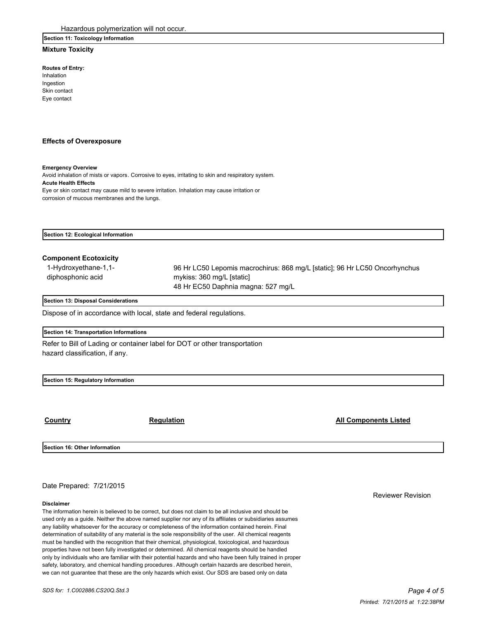### **Section 11: Toxicology Information**

# **Mixture Toxicity**

**Routes of Entry:** Inhalation

Ingestion Skin contact Eye contact

#### **Effects of Overexposure**

#### **Emergency Overview**

Avoid inhalation of mists or vapors. Corrosive to eyes, irritating to skin and respiratory system. **Acute Health Effects** Eye or skin contact may cause mild to severe irritation. Inhalation may cause irritation or corrosion of mucous membranes and the lungs.

**Section 12: Ecological Information**

# **Component Ecotoxicity**

| 1-Hydroxyethane-1,1- | 96 Hr LC50 Lepomis macrochirus: 868 mg/L [static]; 96 Hr LC50 Oncorhynchus |
|----------------------|----------------------------------------------------------------------------|
| diphosphonic acid    | mykiss: 360 mg/L [static]                                                  |
|                      | 48 Hr EC50 Daphnia magna: 527 mg/L                                         |

#### **Section 13: Disposal Considerations**

Dispose of in accordance with local, state and federal regulations.

#### **Section 14: Transportation Informations**

Refer to Bill of Lading or container label for DOT or other transportation hazard classification, if any.

**Section 15: Regulatory Information**

## **Country Country Regulation Regulation Country All Components Listed**

**Section 16: Other Information**

Date Prepared: 7/21/2015

#### **Disclaimer**

The information herein is believed to be correct, but does not claim to be all inclusive and should be used only as a guide. Neither the above named supplier nor any of its affiliates or subsidiaries assumes any liability whatsoever for the accuracy or completeness of the information contained herein. Final determination of suitability of any material is the sole responsibility of the user. All chemical reagents must be handled with the recognition that their chemical, physiological, toxicological, and hazardous properties have not been fully investigated or determined. All chemical reagents should be handled only by individuals who are familiar with their potential hazards and who have been fully trained in proper safety, laboratory, and chemical handling procedures . Although certain hazards are described herein, we can not guarantee that these are the only hazards which exist. Our SDS are based only on data

Reviewer Revision